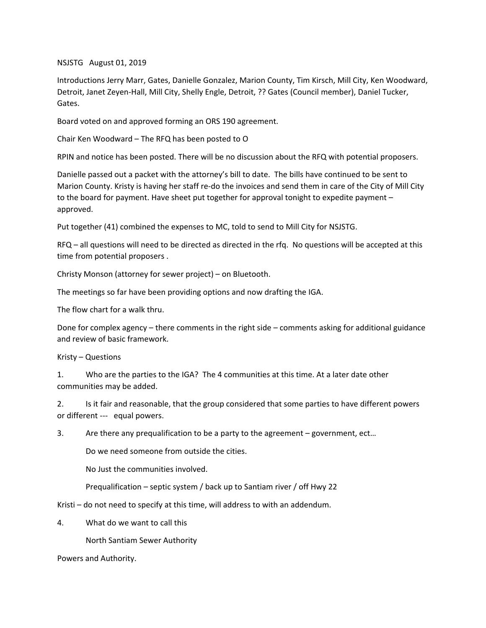## NSJSTG August 01, 2019

Introductions Jerry Marr, Gates, Danielle Gonzalez, Marion County, Tim Kirsch, Mill City, Ken Woodward, Detroit, Janet Zeyen-Hall, Mill City, Shelly Engle, Detroit, ?? Gates (Council member), Daniel Tucker, Gates.

Board voted on and approved forming an ORS 190 agreement.

Chair Ken Woodward – The RFQ has been posted to O

RPIN and notice has been posted. There will be no discussion about the RFQ with potential proposers.

Danielle passed out a packet with the attorney's bill to date. The bills have continued to be sent to Marion County. Kristy is having her staff re-do the invoices and send them in care of the City of Mill City to the board for payment. Have sheet put together for approval tonight to expedite payment – approved.

Put together (41) combined the expenses to MC, told to send to Mill City for NSJSTG.

RFQ – all questions will need to be directed as directed in the rfq. No questions will be accepted at this time from potential proposers .

Christy Monson (attorney for sewer project) – on Bluetooth.

The meetings so far have been providing options and now drafting the IGA.

The flow chart for a walk thru.

Done for complex agency – there comments in the right side – comments asking for additional guidance and review of basic framework.

Kristy – Questions

1. Who are the parties to the IGA? The 4 communities at this time. At a later date other communities may be added.

2. Is it fair and reasonable, that the group considered that some parties to have different powers or different --- equal powers.

3. Are there any prequalification to be a party to the agreement – government, ect…

Do we need someone from outside the cities.

No Just the communities involved.

Prequalification – septic system / back up to Santiam river / off Hwy 22

Kristi – do not need to specify at this time, will address to with an addendum.

4. What do we want to call this

North Santiam Sewer Authority

Powers and Authority.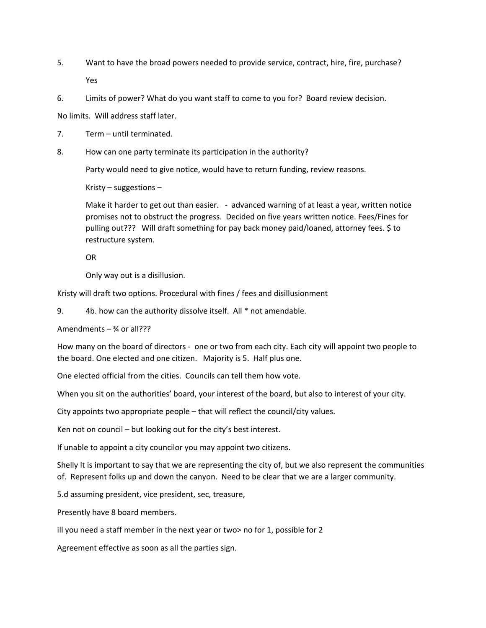- 5. Want to have the broad powers needed to provide service, contract, hire, fire, purchase? Yes
- 6. Limits of power? What do you want staff to come to you for? Board review decision.

No limits. Will address staff later.

- 7. Term until terminated.
- 8. How can one party terminate its participation in the authority?

Party would need to give notice, would have to return funding, review reasons.

Kristy – suggestions –

Make it harder to get out than easier. - advanced warning of at least a year, written notice promises not to obstruct the progress. Decided on five years written notice. Fees/Fines for pulling out??? Will draft something for pay back money paid/loaned, attorney fees. \$ to restructure system.

OR

Only way out is a disillusion.

Kristy will draft two options. Procedural with fines / fees and disillusionment

9. 4b. how can the authority dissolve itself. All \* not amendable.

Amendments  $\frac{3}{4}$  or all???

How many on the board of directors - one or two from each city. Each city will appoint two people to the board. One elected and one citizen. Majority is 5. Half plus one.

One elected official from the cities. Councils can tell them how vote.

When you sit on the authorities' board, your interest of the board, but also to interest of your city.

City appoints two appropriate people – that will reflect the council/city values.

Ken not on council – but looking out for the city's best interest.

If unable to appoint a city councilor you may appoint two citizens.

Shelly It is important to say that we are representing the city of, but we also represent the communities of. Represent folks up and down the canyon. Need to be clear that we are a larger community.

5.d assuming president, vice president, sec, treasure,

Presently have 8 board members.

ill you need a staff member in the next year or two> no for 1, possible for 2

Agreement effective as soon as all the parties sign.